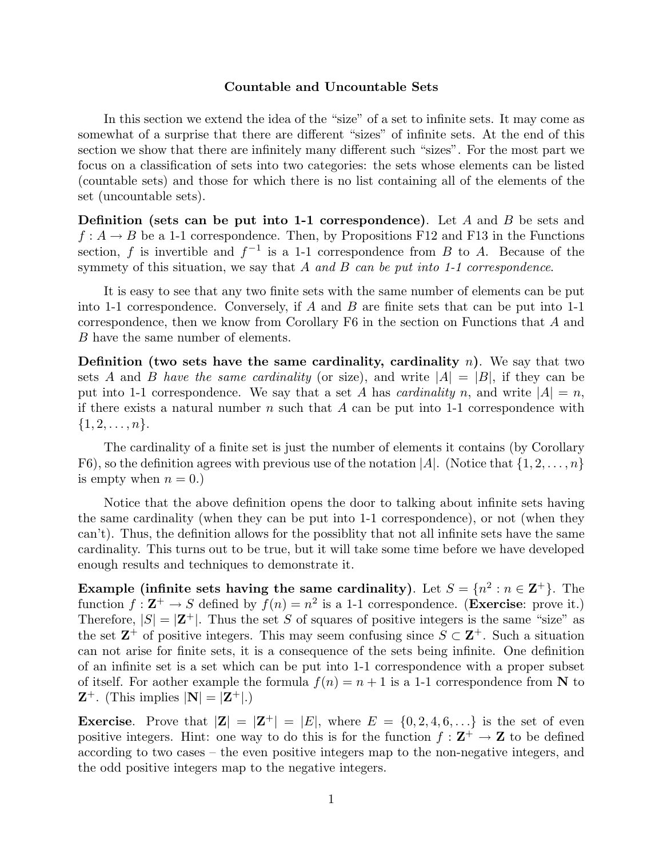## **Countable and Uncountable Sets**

In this section we extend the idea of the "size" of a set to infinite sets. It may come as somewhat of a surprise that there are different "sizes" of infinite sets. At the end of this section we show that there are infinitely many different such "sizes". For the most part we focus on a classification of sets into two categories: the sets whose elements can be listed (countable sets) and those for which there is no list containing all of the elements of the set (uncountable sets).

**Definition (sets can be put into 1-1 correspondence)**. Let *A* and *B* be sets and  $f: A \rightarrow B$  be a 1-1 correspondence. Then, by Propositions F12 and F13 in the Functions section, *f* is invertible and  $f^{-1}$  is a 1-1 correspondence from *B* to *A*. Because of the symmety of this situation, we say that *A* and *B* can be put into 1-1 correspondence.

It is easy to see that any two finite sets with the same number of elements can be put into 1-1 correspondence. Conversely, if *A* and *B* are finite sets that can be put into 1-1 correspondence, then we know from Corollary F6 in the section on Functions that *A* and *B* have the same number of elements.

**Definition (two sets have the same cardinality, cardinality** *n***)**. We say that two sets *A* and *B* have the same cardinality (or size), and write  $|A| = |B|$ , if they can be put into 1-1 correspondence. We say that a set *A* has *cardinality n*, and write  $|A| = n$ , if there exists a natural number *n* such that *A* can be put into 1-1 correspondence with  $\{1, 2, \ldots, n\}.$ 

The cardinality of a finite set is just the number of elements it contains (by Corollary F6), so the definition agrees with previous use of the notation  $|A|$ . (Notice that  $\{1, 2, \ldots, n\}$ is empty when  $n = 0$ .)

Notice that the above definition opens the door to talking about infinite sets having the same cardinality (when they can be put into 1-1 correspondence), or not (when they can't). Thus, the definition allows for the possiblity that not all infinite sets have the same cardinality. This turns out to be true, but it will take some time before we have developed enough results and techniques to demonstrate it.

**Example (infinite sets having the same cardinality).** Let  $S = \{n^2 : n \in \mathbb{Z}^+\}$ . The function  $f: \mathbf{Z}^+ \to S$  defined by  $f(n) = n^2$  is a 1-1 correspondence. (**Exercise**: prove it.) Therefore,  $|S| = |\mathbf{Z}^+|$ . Thus the set *S* of squares of positive integers is the same "size" as the set  $\mathbb{Z}^+$  of positive integers. This may seem confusing since  $S \subset \mathbb{Z}^+$ . Such a situation can not arise for finite sets, it is a consequence of the sets being infinite. One definition of an infinite set is a set which can be put into 1-1 correspondence with a proper subset of itself. For aother example the formula  $f(n) = n + 1$  is a 1-1 correspondence from N to  $\mathbf{Z}^+$ . (This implies  $|\mathbf{N}| = |\mathbf{Z}^+|$ .)

**Exercise**. Prove that  $|\mathbf{Z}| = |\mathbf{Z}^+| = |E|$ , where  $E = \{0, 2, 4, 6, ...\}$  is the set of even positive integers. Hint: one way to do this is for the function  $f : \mathbf{Z}^+ \to \mathbf{Z}$  to be defined according to two cases – the even positive integers map to the non-negative integers, and the odd positive integers map to the negative integers.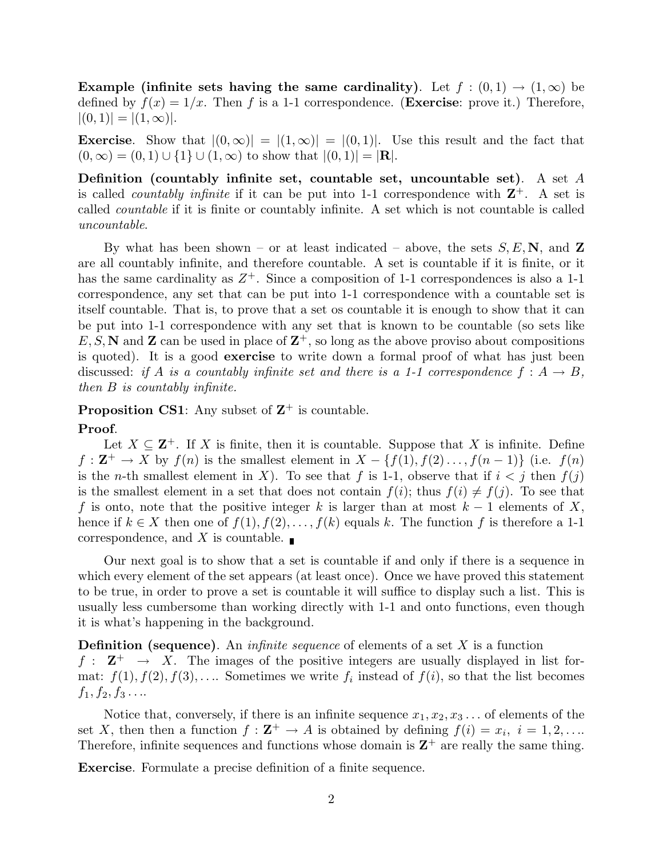**Example (infinite sets having the same cardinality).** Let  $f : (0,1) \rightarrow (1,\infty)$  be defined by  $f(x)=1/x$ . Then f is a 1-1 correspondence. (**Exercise**: prove it.) Therefore,  $|(0,1)| = |(1,\infty)|.$ 

**Exercise.** Show that  $|(0, \infty)| = |(1, \infty)| = |(0, 1)|$ . Use this result and the fact that  $(0, \infty) = (0, 1) \cup \{1\} \cup (1, \infty)$  to show that  $|(0, 1)| = |{\bf R}|$ .

**Definition (countably infinite set, countable set, uncountable set)**. A set *A* is called *countably infinite* if it can be put into 1-1 correspondence with  $\mathbb{Z}^+$ . A set is called countable if it is finite or countably infinite. A set which is not countable is called uncountable.

By what has been shown – or at least indicated – above, the sets  $S, E, \mathbf{N}$ , and **Z** are all countably infinite, and therefore countable. A set is countable if it is finite, or it has the same cardinality as  $Z^+$ . Since a composition of 1-1 correspondences is also a 1-1 correspondence, any set that can be put into 1-1 correspondence with a countable set is itself countable. That is, to prove that a set os countable it is enough to show that it can be put into 1-1 correspondence with any set that is known to be countable (so sets like  $E, S, N$  and **Z** can be used in place of  $\mathbb{Z}^+$ , so long as the above proviso about compositions is quoted). It is a good **exercise** to write down a formal proof of what has just been discussed: if *A* is a countably infinite set and there is a 1-1 correspondence  $f : A \rightarrow B$ , then *B* is countably infinite.

**Proposition CS1**: Any subset of  $\mathbb{Z}^+$  is countable.

#### **Proof**.

Let  $X \subseteq \mathbb{Z}^+$ . If X is finite, then it is countable. Suppose that X is infinite. Define  $f: \mathbf{Z}^+ \to X$  by  $f(n)$  is the smallest element in  $X - \{f(1), f(2), \ldots, f(n-1)\}$  (i.e.  $f(n)$ ) is the *n*-th smallest element in *X*). To see that *f* is 1-1, observe that if  $i < j$  then  $f(j)$ is the smallest element in a set that does not contain  $f(i)$ ; thus  $f(i) \neq f(j)$ . To see that *f* is onto, note that the positive integer *k* is larger than at most  $k-1$  elements of X, hence if  $k \in X$  then one of  $f(1), f(2), \ldots, f(k)$  equals *k*. The function f is therefore a 1-1 correspondence, and *X* is countable.

Our next goal is to show that a set is countable if and only if there is a sequence in which every element of the set appears (at least once). Once we have proved this statement to be true, in order to prove a set is countable it will suffice to display such a list. This is usually less cumbersome than working directly with 1-1 and onto functions, even though it is what's happening in the background.

**Definition (sequence)**. An infinite sequence of elements of a set *X* is a function  $f: \mathbf{Z}^+ \to X$ . The images of the positive integers are usually displayed in list format:  $f(1), f(2), f(3), \ldots$  Sometimes we write  $f_i$  instead of  $f(i)$ , so that the list becomes  $f_1, f_2, f_3 \ldots$ 

Notice that, conversely, if there is an infinite sequence  $x_1, x_2, x_3 \ldots$  of elements of the set *X*, then then a function  $f : \mathbf{Z}^+ \to A$  is obtained by defining  $f(i) = x_i$ ,  $i = 1, 2, \ldots$ Therefore, infinite sequences and functions whose domain is  $\mathbb{Z}^+$  are really the same thing.

**Exercise**. Formulate a precise definition of a finite sequence.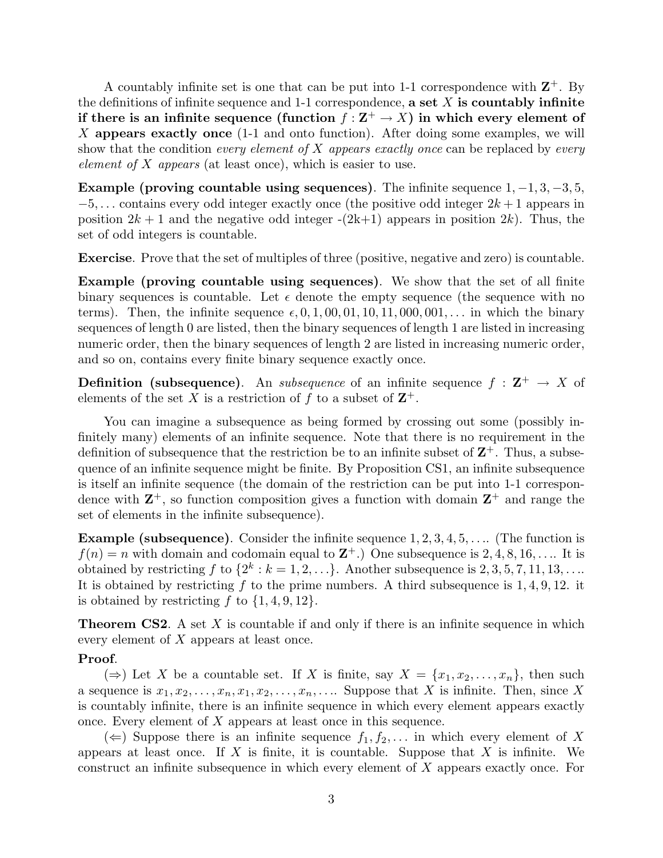A countably infinite set is one that can be put into 1-1 correspondence with  $\mathbb{Z}^+$ . By the definitions of infinite sequence and 1-1 correspondence, **a set** *X* **is countably infinite if there is an infinite sequence (function**  $f: \mathbb{Z}^+ \to X$ ) in which every element of *X* **appears exactly once** (1-1 and onto function). After doing some examples, we will show that the condition every element of *X* appears exactly once can be replaced by every element of *X* appears (at least once), which is easier to use.

**Example (proving countable using sequences)**. The infinite sequence 1*,* −1*,* 3*,* −3*,* 5*,* −5*,...* contains every odd integer exactly once (the positive odd integer 2*k* + 1 appears in position  $2k + 1$  and the negative odd integer  $-(2k+1)$  appears in position  $2k$ ). Thus, the set of odd integers is countable.

**Exercise**. Prove that the set of multiples of three (positive, negative and zero) is countable.

**Example (proving countable using sequences)**. We show that the set of all finite binary sequences is countable. Let  $\epsilon$  denote the empty sequence (the sequence with no terms). Then, the infinite sequence  $\epsilon$ , 0, 1, 00, 01, 10, 11, 000, 001,... in which the binary sequences of length 0 are listed, then the binary sequences of length 1 are listed in increasing numeric order, then the binary sequences of length 2 are listed in increasing numeric order, and so on, contains every finite binary sequence exactly once.

**Definition** (subsequence). An *subsequence* of an infinite sequence  $f : \mathbf{Z}^+ \to X$  of elements of the set *X* is a restriction of *f* to a subset of  $\mathbb{Z}^+$ .

You can imagine a subsequence as being formed by crossing out some (possibly infinitely many) elements of an infinite sequence. Note that there is no requirement in the definition of subsequence that the restriction be to an infinite subset of  $\mathbb{Z}^+$ . Thus, a subsequence of an infinite sequence might be finite. By Proposition CS1, an infinite subsequence is itself an infinite sequence (the domain of the restriction can be put into 1-1 correspondence with  $\mathbb{Z}^+$ , so function composition gives a function with domain  $\mathbb{Z}^+$  and range the set of elements in the infinite subsequence).

**Example (subsequence)**. Consider the infinite sequence 1*,* 2*,* 3*,* 4*,* 5*,...*. (The function is  $f(n) = n$  with domain and codomain equal to  $\mathbb{Z}^+$ .) One subsequence is 2*,* 4*,* 8*,* 16*,....* It is obtained by restricting  $f$  to  $\{2^k : k = 1, 2, \ldots\}$ . Another subsequence is  $2, 3, 5, 7, 11, 13, \ldots$ It is obtained by restricting *f* to the prime numbers. A third subsequence is 1*,* 4*,* 9*,* 12. it is obtained by restricting  $f$  to  $\{1, 4, 9, 12\}$ .

**Theorem CS2.** A set X is countable if and only if there is an infinite sequence in which every element of *X* appears at least once.

## **Proof**.

(⇒) Let *X* be a countable set. If *X* is finite, say  $X = \{x_1, x_2, \ldots, x_n\}$ , then such a sequence is  $x_1, x_2, \ldots, x_n, x_1, x_2, \ldots, x_n, \ldots$  Suppose that *X* is infinite. Then, since *X* is countably infinite, there is an infinite sequence in which every element appears exactly once. Every element of *X* appears at least once in this sequence.

 $(\Leftarrow)$  Suppose there is an infinite sequence  $f_1, f_2, \ldots$  in which every element of X appears at least once. If *X* is finite, it is countable. Suppose that *X* is infinite. We construct an infinite subsequence in which every element of *X* appears exactly once. For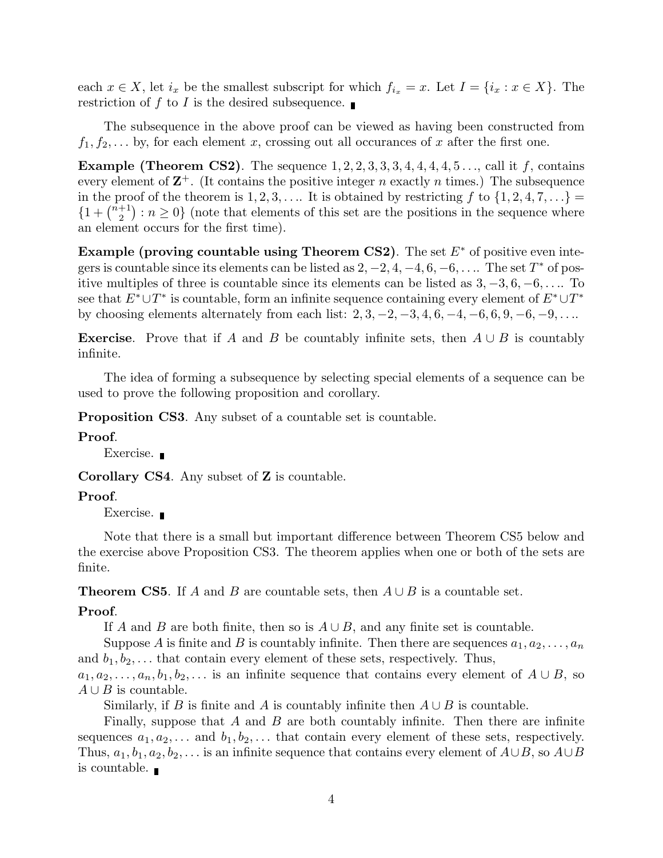each  $x \in X$ , let  $i_x$  be the smallest subscript for which  $f_{i_x} = x$ . Let  $I = \{i_x : x \in X\}$ . The restriction of  $f$  to  $I$  is the desired subsequence.

The subsequence in the above proof can be viewed as having been constructed from  $f_1, f_2, \ldots$  by, for each element *x*, crossing out all occurances of *x* after the first one.

**Example (Theorem CS2)**. The sequence  $1, 2, 2, 3, 3, 3, 4, 4, 4, 4, 5, \ldots$ , call it *f*, contains every element of  $\mathbf{Z}^+$ . (It contains the positive integer *n* exactly *n* times.) The subsequence in the proof of the theorem is  $1, 2, 3, \ldots$  It is obtained by restricting  $f$  to  $\{1, 2, 4, 7, \ldots\}$  $\{1 + \binom{n+1}{2}$  $\binom{+1}{2}$ :  $n \geq 0$  (note that elements of this set are the positions in the sequence where an element occurs for the first time).

**Example (proving countable using Theorem CS2)**. The set *E*<sup>∗</sup> of positive even integers is countable since its elements can be listed as  $2, -2, 4, -4, 6, -6, \ldots$ . The set  $T^*$  of positive multiples of three is countable since its elements can be listed as 3*,* −3*,* 6*,* −6*,...*. To see that *E*∗∪*T* <sup>∗</sup> is countable, form an infinite sequence containing every element of *E*∗∪*T* <sup>∗</sup> by choosing elements alternately from each list: 2*,* 3*,* −2*,* −3*,* 4*,* 6*,* −4*,* −6*,* 6*,* 9*,* −6*,* −9*,...*.

**Exercise**. Prove that if *A* and *B* be countably infinite sets, then  $A \cup B$  is countably infinite.

The idea of forming a subsequence by selecting special elements of a sequence can be used to prove the following proposition and corollary.

**Proposition CS3.** Any subset of a countable set is countable.

## **Proof**.

Exercise. **■** 

**Corollary CS4**. Any subset of **Z** is countable.

#### **Proof**.

Exercise.

Note that there is a small but important difference between Theorem CS5 below and the exercise above Proposition CS3. The theorem applies when one or both of the sets are finite.

**Theorem CS5**. If *A* and *B* are countable sets, then  $A \cup B$  is a countable set.

#### **Proof**.

If *A* and *B* are both finite, then so is  $A \cup B$ , and any finite set is countable.

Suppose A is finite and B is countably infinite. Then there are sequences  $a_1, a_2, \ldots, a_n$ and  $b_1, b_2, \ldots$  that contain every element of these sets, respectively. Thus,  $a_1, a_2, \ldots, a_n, b_1, b_2, \ldots$  is an infinite sequence that contains every element of  $A \cup B$ , so

 $A \cup B$  is countable.

Similarly, if *B* is finite and *A* is countably infinite then  $A \cup B$  is countable.

Finally, suppose that *A* and *B* are both countably infinite. Then there are infinite sequences  $a_1, a_2, \ldots$  and  $b_1, b_2, \ldots$  that contain every element of these sets, respectively. Thus,  $a_1, b_1, a_2, b_2, \ldots$  is an infinite sequence that contains every element of  $A \cup B$ , so  $A \cup B$ is countable.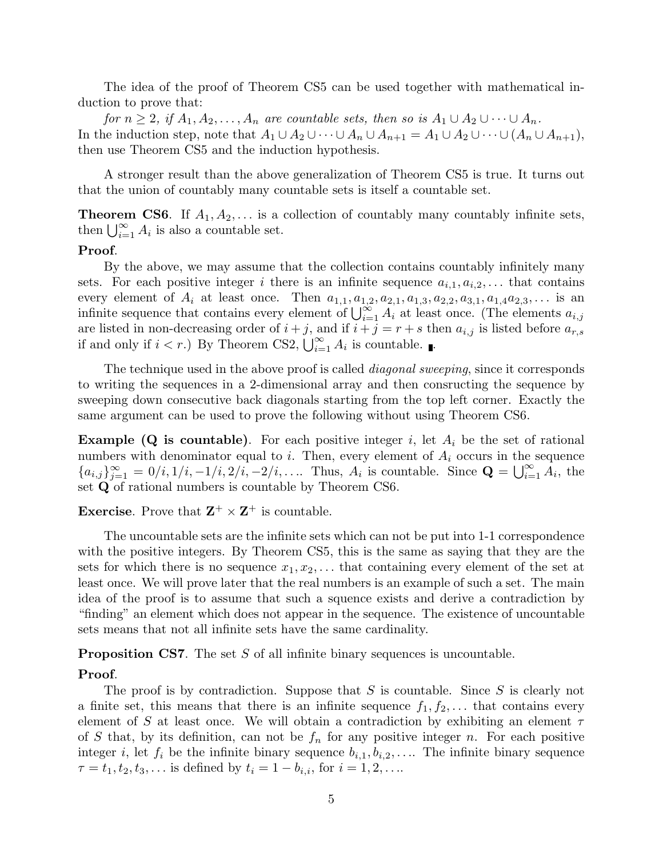The idea of the proof of Theorem CS5 can be used together with mathematical induction to prove that:

for  $n \geq 2$ , if  $A_1, A_2, \ldots, A_n$  are countable sets, then so is  $A_1 \cup A_2 \cup \cdots \cup A_n$ . In the induction step, note that  $A_1 \cup A_2 \cup \cdots \cup A_n \cup A_{n+1} = A_1 \cup A_2 \cup \cdots \cup (A_n \cup A_{n+1}),$ then use Theorem CS5 and the induction hypothesis.

A stronger result than the above generalization of Theorem CS5 is true. It turns out that the union of countably many countable sets is itself a countable set.

**Theorem CS6**. If  $A_1, A_2, \ldots$  is a collection of countably many countably infinite sets, then  $\bigcup_{i=1}^{\infty} A_i$  is also a countable set.

#### **Proof**.

By the above, we may assume that the collection contains countably infinitely many sets. For each positive integer *i* there is an infinite sequence  $a_{i,1}, a_{i,2}, \ldots$  that contains every element of  $A_i$  at least once. Then  $a_{1,1}, a_{1,2}, a_{2,1}, a_{1,3}, a_{2,2}, a_{3,1}, a_{1,4}a_{2,3}, \ldots$  is an infinite sequence that contains every element of  $\bigcup_{i=1}^{\infty} A_i$  at least once. (The elements  $a_{i,j}$ are listed in non-decreasing order of  $i + j$ , and if  $i + j = r + s$  then  $a_{i,j}$  is listed before  $a_{r,s}$ if and only if  $i < r$ .) By Theorem CS2,  $\bigcup_{i=1}^{\infty} A_i$  is countable.

The technique used in the above proof is called *diagonal sweeping*, since it corresponds to writing the sequences in a 2-dimensional array and then consructing the sequence by sweeping down consecutive back diagonals starting from the top left corner. Exactly the same argument can be used to prove the following without using Theorem CS6.

**Example (Q is countable).** For each positive integer *i*, let  $A_i$  be the set of rational numbers with denominator equal to *i*. Then, every element of  $A_i$  occurs in the sequence  ${a_{i,j}}_{j=1}^{\infty} = 0/i, 1/i, -1/i, 2/i, -2/i, \ldots$  Thus,  $A_i$  is countable. Since  $\mathbf{Q} = \bigcup_{i=1}^{\infty} A_i$ , the set **Q** of rational numbers is countable by Theorem CS6.

**Exercise**. Prove that  $\mathbf{Z}^+ \times \mathbf{Z}^+$  is countable.

The uncountable sets are the infinite sets which can not be put into 1-1 correspondence with the positive integers. By Theorem CS5, this is the same as saying that they are the sets for which there is no sequence  $x_1, x_2, \ldots$  that containing every element of the set at least once. We will prove later that the real numbers is an example of such a set. The main idea of the proof is to assume that such a squence exists and derive a contradiction by "finding" an element which does not appear in the sequence. The existence of uncountable sets means that not all infinite sets have the same cardinality.

**Proposition CS7.** The set *S* of all infinite binary sequences is uncountable.

## **Proof**.

The proof is by contradiction. Suppose that *S* is countable. Since *S* is clearly not a finite set, this means that there is an infinite sequence  $f_1, f_2, \ldots$  that contains every element of *S* at least once. We will obtain a contradiction by exhibiting an element *τ* of *S* that, by its definition, can not be  $f_n$  for any positive integer *n*. For each positive integer *i*, let  $f_i$  be the infinite binary sequence  $b_{i,1}, b_{i,2}, \ldots$  The infinite binary sequence  $\tau = t_1, t_2, t_3, \ldots$  is defined by  $t_i = 1 - b_{i,i}$ , for  $i = 1, 2, \ldots$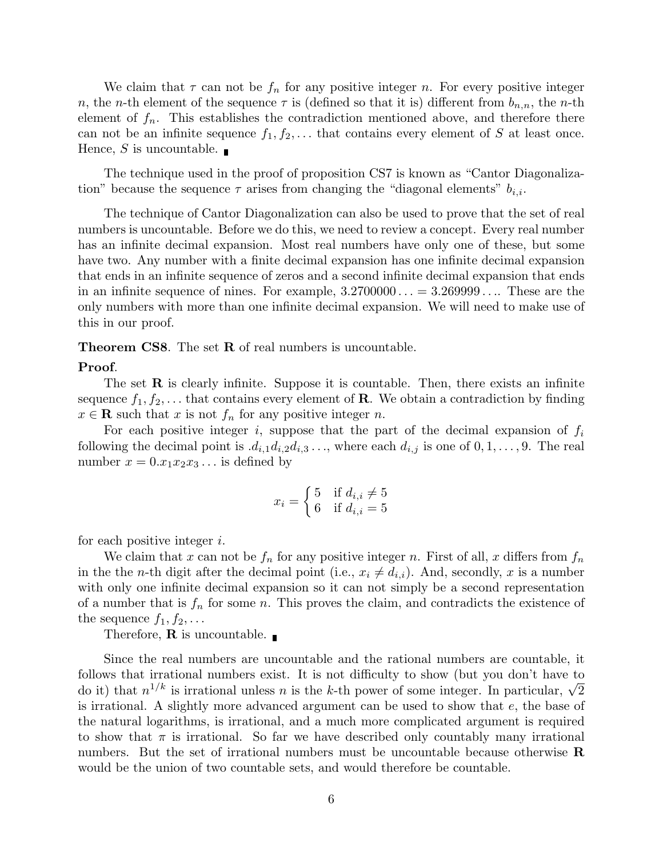We claim that  $\tau$  can not be  $f_n$  for any positive integer *n*. For every positive integer *n*, the *n*-th element of the sequence  $\tau$  is (defined so that it is) different from  $b_{n,n}$ , the *n*-th element of  $f_n$ . This establishes the contradiction mentioned above, and therefore there can not be an infinite sequence  $f_1, f_2, \ldots$  that contains every element of *S* at least once. Hence, *S* is uncountable.

The technique used in the proof of proposition CS7 is known as "Cantor Diagonalization" because the sequence  $\tau$  arises from changing the "diagonal elements"  $b_{i,i}$ .

The technique of Cantor Diagonalization can also be used to prove that the set of real numbers is uncountable. Before we do this, we need to review a concept. Every real number has an infinite decimal expansion. Most real numbers have only one of these, but some have two. Any number with a finite decimal expansion has one infinite decimal expansion that ends in an infinite sequence of zeros and a second infinite decimal expansion that ends in an infinite sequence of nines. For example, 3*.*2700000 *...* = 3*.*269999 *...*. These are the only numbers with more than one infinite decimal expansion. We will need to make use of this in our proof.

**Theorem CS8**. The set **R** of real numbers is uncountable.

# **Proof**.

The set  $\bf{R}$  is clearly infinite. Suppose it is countable. Then, there exists an infinite sequence  $f_1, f_2, \ldots$  that contains every element of **R**. We obtain a contradiction by finding  $x \in \mathbf{R}$  such that *x* is not  $f_n$  for any positive integer *n*.

For each positive integer *i*, suppose that the part of the decimal expansion of  $f_i$ following the decimal point is  $d_{i,1}d_{i,2}d_{i,3}...$ , where each  $d_{i,j}$  is one of  $0,1,\ldots,9$ . The real number  $x = 0.x_1x_2x_3...$  is defined by

$$
x_i = \begin{cases} 5 & \text{if } d_{i,i} \neq 5 \\ 6 & \text{if } d_{i,i} = 5 \end{cases}
$$

for each positive integer *i*.

We claim that *x* can not be  $f_n$  for any positive integer *n*. First of all, *x* differs from  $f_n$ in the the *n*-th digit after the decimal point (i.e.,  $x_i \neq d_{i,i}$ ). And, secondly, *x* is a number with only one infinite decimal expansion so it can not simply be a second representation of a number that is  $f_n$  for some *n*. This proves the claim, and contradicts the existence of the sequence  $f_1, f_2, \ldots$ 

Therefore, **R** is uncountable.

Since the real numbers are uncountable and the rational numbers are countable, it follows that irrational numbers exist. It is not difficulty to show (but you don't have to do it) that  $n^{1/k}$  is irrational unless *n* is the *k*-th power of some integer. In particular,  $\sqrt{2}$ is irrational. A slightly more advanced argument can be used to show that *e*, the base of the natural logarithms, is irrational, and a much more complicated argument is required to show that  $\pi$  is irrational. So far we have described only countably many irrational numbers. But the set of irrational numbers must be uncountable because otherwise **R** would be the union of two countable sets, and would therefore be countable.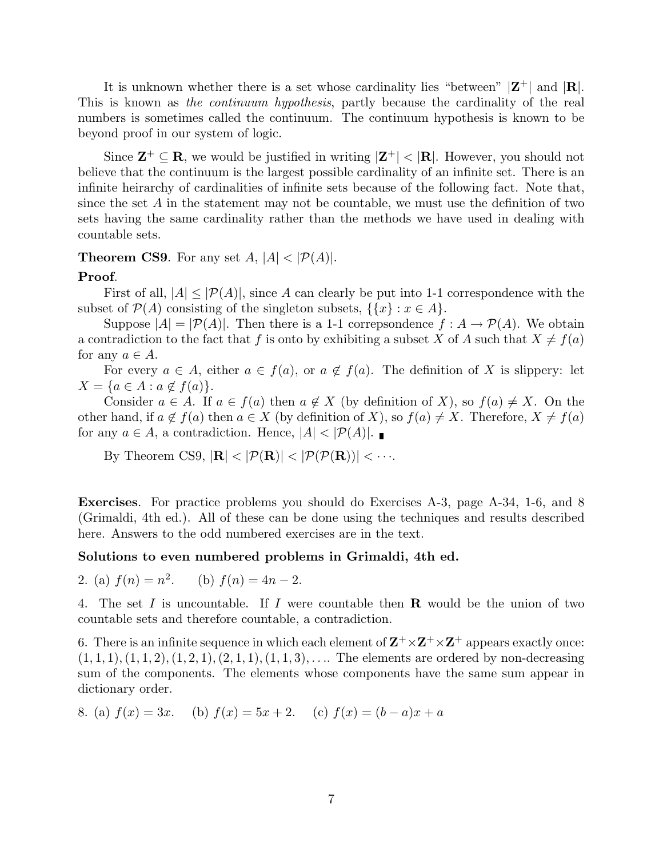It is unknown whether there is a set whose cardinality lies "between"  $|\mathbf{Z}^+|$  and  $|\mathbf{R}|$ . This is known as the continuum hypothesis, partly because the cardinality of the real numbers is sometimes called the continuum. The continuum hypothesis is known to be beyond proof in our system of logic.

Since  $\mathbf{Z}^+ \subset \mathbf{R}$ , we would be justified in writing  $|\mathbf{Z}^+| < |\mathbf{R}|$ . However, you should not believe that the continuum is the largest possible cardinality of an infinite set. There is an infinite heirarchy of cardinalities of infinite sets because of the following fact. Note that, since the set *A* in the statement may not be countable, we must use the definition of two sets having the same cardinality rather than the methods we have used in dealing with countable sets.

## **Theorem CS9**. For any set  $A$ ,  $|A| < |\mathcal{P}(A)|$ .

#### **Proof**.

First of all,  $|A| \leq |\mathcal{P}(A)|$ , since A can clearly be put into 1-1 correspondence with the subset of  $\mathcal{P}(A)$  consisting of the singleton subsets,  $\{\{x\} : x \in A\}.$ 

Suppose  $|A| = |\mathcal{P}(A)|$ . Then there is a 1-1 correpsondence  $f : A \to \mathcal{P}(A)$ . We obtain a contradiction to the fact that *f* is onto by exhibiting a subset *X* of *A* such that  $X \neq f(a)$ for any  $a \in A$ .

For every  $a \in A$ , either  $a \in f(a)$ , or  $a \notin f(a)$ . The definition of X is slippery: let  $X = \{a \in A : a \notin f(a)\}.$ 

Consider  $a \in A$ . If  $a \in f(a)$  then  $a \notin X$  (by definition of X), so  $f(a) \neq X$ . On the other hand, if  $a \notin f(a)$  then  $a \in X$  (by definition of X), so  $f(a) \neq X$ . Therefore,  $X \neq f(a)$ for any  $a \in A$ , a contradiction. Hence,  $|A| < |\mathcal{P}(A)|$ .

By Theorem CS9,  $|\mathbf{R}| < |\mathcal{P}(\mathbf{R})| < |\mathcal{P}(\mathcal{P}(\mathbf{R}))| < \cdots$ .

**Exercises**. For practice problems you should do Exercises A-3, page A-34, 1-6, and 8 (Grimaldi, 4th ed.). All of these can be done using the techniques and results described here. Answers to the odd numbered exercises are in the text.

#### **Solutions to even numbered problems in Grimaldi, 4th ed.**

2. (a)  $f(n) = n^2$ . (b)  $f(n) = 4n - 2$ .

4. The set *I* is uncountable. If *I* were countable then **R** would be the union of two countable sets and therefore countable, a contradiction.

6. There is an infinite sequence in which each element of  $\mathbf{Z}^+ \times \mathbf{Z}^+ \times \mathbf{Z}^+$  appears exactly once: (1*,* 1*,* 1)*,*(1*,* 1*,* 2)*,*(1*,* 2*,* 1)*,*(2*,* 1*,* 1)*,*(1*,* 1*,* 3)*,...*. The elements are ordered by non-decreasing sum of the components. The elements whose components have the same sum appear in dictionary order.

8. (a) 
$$
f(x) = 3x
$$
. (b)  $f(x) = 5x + 2$ . (c)  $f(x) = (b - a)x + a$